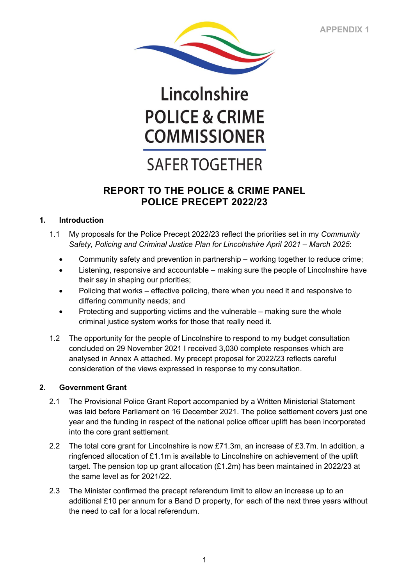

# Lincolnshire **POLICE & CRIME COMMISSIONER**

## **SAFER TOGETHER**

### **REPORT TO THE POLICE & CRIME PANEL POLICE PRECEPT 2022/23**

#### **1. Introduction**

- 1.1 My proposals for the Police Precept 2022/23 reflect the priorities set in my *Community Safety, Policing and Criminal Justice Plan for Lincolnshire April 2021 – March 2025*:
	- Community safety and prevention in partnership working together to reduce crime;
	- Listening, responsive and accountable making sure the people of Lincolnshire have their say in shaping our priorities;
	- Policing that works effective policing, there when you need it and responsive to differing community needs; and
	- Protecting and supporting victims and the vulnerable making sure the whole criminal justice system works for those that really need it.
- 1.2 The opportunity for the people of Lincolnshire to respond to my budget consultation concluded on 29 November 2021 I received 3,030 complete responses which are analysed in Annex A attached. My precept proposal for 2022/23 reflects careful consideration of the views expressed in response to my consultation.

#### **2. Government Grant**

- 2.1 The Provisional Police Grant Report accompanied by a Written Ministerial Statement was laid before Parliament on 16 December 2021. The police settlement covers just one year and the funding in respect of the national police officer uplift has been incorporated into the core grant settlement.
- 2.2 The total core grant for Lincolnshire is now £71.3m, an increase of £3.7m. In addition, a ringfenced allocation of £1.1m is available to Lincolnshire on achievement of the uplift target. The pension top up grant allocation (£1.2m) has been maintained in 2022/23 at the same level as for 2021/22.
- 2.3 The Minister confirmed the precept referendum limit to allow an increase up to an additional £10 per annum for a Band D property, for each of the next three years without the need to call for a local referendum.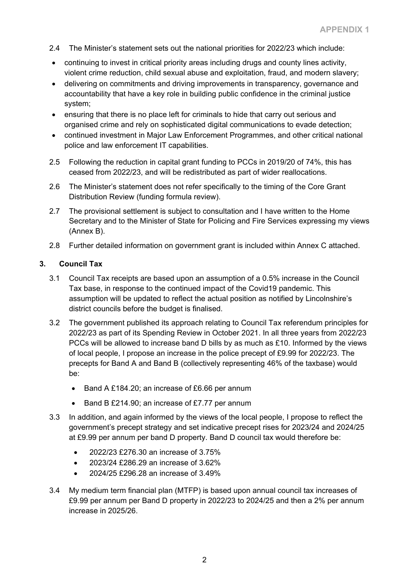- 2.4 The Minister's statement sets out the national priorities for 2022/23 which include:
- continuing to invest in critical priority areas including drugs and county lines activity, violent crime reduction, child sexual abuse and exploitation, fraud, and modern slavery;
- delivering on commitments and driving improvements in transparency, governance and accountability that have a key role in building public confidence in the criminal justice system;
- ensuring that there is no place left for criminals to hide that carry out serious and organised crime and rely on sophisticated digital communications to evade detection;
- continued investment in Major Law Enforcement Programmes, and other critical national police and law enforcement IT capabilities.
- 2.5 Following the reduction in capital grant funding to PCCs in 2019/20 of 74%, this has ceased from 2022/23, and will be redistributed as part of wider reallocations.
- 2.6 The Minister's statement does not refer specifically to the timing of the Core Grant Distribution Review (funding formula review).
- 2.7 The provisional settlement is subject to consultation and I have written to the Home Secretary and to the Minister of State for Policing and Fire Services expressing my views (Annex B).
- 2.8 Further detailed information on government grant is included within Annex C attached.

#### **3. Council Tax**

- 3.1 Council Tax receipts are based upon an assumption of a 0.5% increase in the Council Tax base, in response to the continued impact of the Covid19 pandemic. This assumption will be updated to reflect the actual position as notified by Lincolnshire's district councils before the budget is finalised.
- 3.2 The government published its approach relating to Council Tax referendum principles for 2022/23 as part of its Spending Review in October 2021. In all three years from 2022/23 PCCs will be allowed to increase band D bills by as much as £10. Informed by the views of local people, I propose an increase in the police precept of £9.99 for 2022/23. The precepts for Band A and Band B (collectively representing 46% of the taxbase) would be:
	- Band A £184.20; an increase of £6.66 per annum
	- Band B £214.90; an increase of £7.77 per annum
- 3.3 In addition, and again informed by the views of the local people, I propose to reflect the government's precept strategy and set indicative precept rises for 2023/24 and 2024/25 at £9.99 per annum per band D property. Band D council tax would therefore be:
	- 2022/23 £276.30 an increase of 3.75%
	- 2023/24 £286.29 an increase of 3.62%
	- 2024/25 £296.28 an increase of 3.49%
- 3.4 My medium term financial plan (MTFP) is based upon annual council tax increases of £9.99 per annum per Band D property in 2022/23 to 2024/25 and then a 2% per annum increase in 2025/26.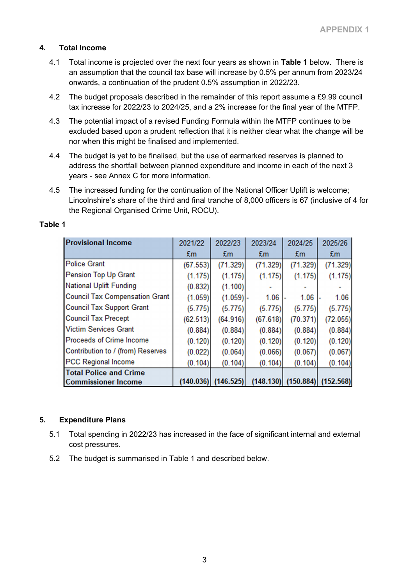#### **4. Total Income**

- 4.1 Total income is projected over the next four years as shown in **Table 1** below. There is an assumption that the council tax base will increase by 0.5% per annum from 2023/24 onwards, a continuation of the prudent 0.5% assumption in 2022/23.
- 4.2 The budget proposals described in the remainder of this report assume a £9.99 council tax increase for 2022/23 to 2024/25, and a 2% increase for the final year of the MTFP.
- 4.3 The potential impact of a revised Funding Formula within the MTFP continues to be excluded based upon a prudent reflection that it is neither clear what the change will be nor when this might be finalised and implemented.
- 4.4 The budget is yet to be finalised, but the use of earmarked reserves is planned to address the shortfall between planned expenditure and income in each of the next 3 years - see Annex C for more information.
- 4.5 The increased funding for the continuation of the National Officer Uplift is welcome; Lincolnshire's share of the third and final tranche of 8,000 officers is 67 (inclusive of 4 for the Regional Organised Crime Unit, ROCU).

| <b>Provisional Income</b>             | 2021/22        | 2022/23                 | 2023/24  | 2024/25                             | 2025/26  |
|---------------------------------------|----------------|-------------------------|----------|-------------------------------------|----------|
|                                       | E <sub>m</sub> | £m                      | £m       | £m                                  | £m       |
| <b>Police Grant</b>                   | (67.553)       | (71.329)                | (71.329) | (71.329)                            | (71.329) |
| Pension Top Up Grant                  | (1.175)        | (1.175)                 | (1.175)  | (1.175)                             | (1.175)  |
| <b>National Uplift Funding</b>        | (0.832)        | (1.100)                 |          |                                     |          |
| <b>Council Tax Compensation Grant</b> | (1.059)        | $(1.059)$ .             | 1.06     | 1.06                                | 1.06     |
| <b>Council Tax Support Grant</b>      | (5.775)        | (5.775)                 | (5.775)  | (5.775)                             | (5.775)  |
| <b>Council Tax Precept</b>            | (62.513)       | (64.916)                | (67.618) | (70.371)                            | (72.055) |
| <b>Victim Services Grant</b>          | (0.884)        | (0.884)                 | (0.884)  | (0.884)                             | (0.884)  |
| <b>Proceeds of Crime Income</b>       | (0.120)        | (0.120)                 | (0.120)  | (0.120)                             | (0.120)  |
| Contribution to / (from) Reserves     | (0.022)        | (0.064)                 | (0.066)  | (0.067)                             | (0.067)  |
| <b>PCC Regional Income</b>            | (0.104)        | (0.104)                 | (0.104)  | (0.104)                             | (0.104)  |
| <b>Total Police and Crime</b>         |                |                         |          |                                     |          |
| <b>Commissioner Income</b>            |                | $(140.036)$ $(146.525)$ |          | $(148.130)$ $(150.884)$ $(152.568)$ |          |

#### **Table 1**

#### **5. Expenditure Plans**

- 5.1 Total spending in 2022/23 has increased in the face of significant internal and external cost pressures.
- 5.2 The budget is summarised in Table 1 and described below.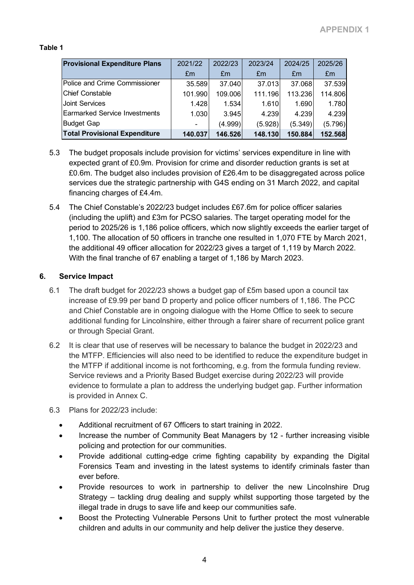#### **Table 1**

| <b>Provisional Expenditure Plans</b> | 2021/22 | 2022/23 | 2023/24 | 2024/25 | 2025/26 |
|--------------------------------------|---------|---------|---------|---------|---------|
|                                      | Em      | Em      | Em      | £m      | £m      |
| Police and Crime Commissioner        | 35.589  | 37.040  | 37.013  | 37.068  | 37.539  |
| <b>Chief Constable</b>               | 101.990 | 109.006 | 111.196 | 113.236 | 114.806 |
| Joint Services                       | 1.428   | 1.534   | 1.610   | 1.690   | 1.780   |
| <b>Earmarked Service Investments</b> | 1.030   | 3.945   | 4.239   | 4.239   | 4.239   |
| <b>Budget Gap</b>                    |         | (4.999) | (5.928) | (5.349) | (5.796) |
| <b>Total Provisional Expenditure</b> | 140.037 | 146.526 | 148.130 | 150.884 | 152.568 |

- 5.3 The budget proposals include provision for victims' services expenditure in line with expected grant of £0.9m. Provision for crime and disorder reduction grants is set at £0.6m. The budget also includes provision of £26.4m to be disaggregated across police services due the strategic partnership with G4S ending on 31 March 2022, and capital financing charges of £4.4m.
- 5.4 The Chief Constable's 2022/23 budget includes £67.6m for police officer salaries (including the uplift) and £3m for PCSO salaries. The target operating model for the period to 2025/26 is 1,186 police officers, which now slightly exceeds the earlier target of 1,100. The allocation of 50 officers in tranche one resulted in 1,070 FTE by March 2021, the additional 49 officer allocation for 2022/23 gives a target of 1,119 by March 2022. With the final tranche of 67 enabling a target of 1,186 by March 2023.

#### **6. Service Impact**

- 6.1 The draft budget for 2022/23 shows a budget gap of £5m based upon a council tax increase of £9.99 per band D property and police officer numbers of 1,186. The PCC and Chief Constable are in ongoing dialogue with the Home Office to seek to secure additional funding for Lincolnshire, either through a fairer share of recurrent police grant or through Special Grant.
- 6.2 It is clear that use of reserves will be necessary to balance the budget in 2022/23 and the MTFP. Efficiencies will also need to be identified to reduce the expenditure budget in the MTFP if additional income is not forthcoming, e.g. from the formula funding review. Service reviews and a Priority Based Budget exercise during 2022/23 will provide evidence to formulate a plan to address the underlying budget gap. Further information is provided in Annex C.
- 6.3 Plans for 2022/23 include:
	- Additional recruitment of 67 Officers to start training in 2022.
	- Increase the number of Community Beat Managers by 12 further increasing visible policing and protection for our communities.
	- Provide additional cutting-edge crime fighting capability by expanding the Digital Forensics Team and investing in the latest systems to identify criminals faster than ever before.
	- Provide resources to work in partnership to deliver the new Lincolnshire Drug Strategy – tackling drug dealing and supply whilst supporting those targeted by the illegal trade in drugs to save life and keep our communities safe.
	- Boost the Protecting Vulnerable Persons Unit to further protect the most vulnerable children and adults in our community and help deliver the justice they deserve.